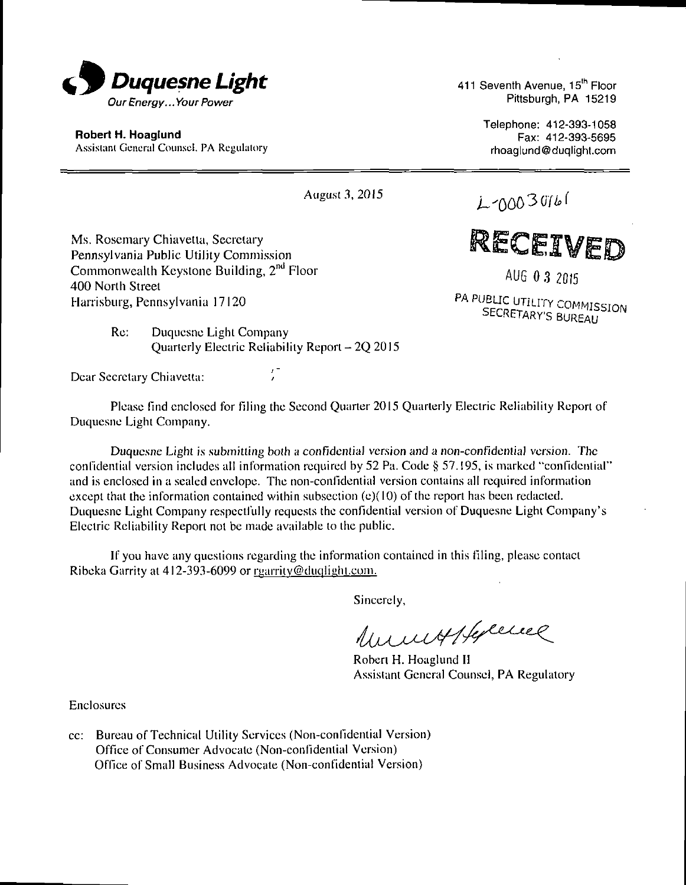

Robert H. Hoaglund Assistant General Counsel. PA Regulatory 411 Seventh Avenue, 15<sup>th</sup> Floor Pittsburgh, PA 15219

> Telephone: 412-393-1058 Fax: 412-393-5695 rhoaglund@duqlight.com

August 3,2015

RECEIVED

 $L$ -0003016

AUG 0 3 2015

PA PUBLIC UTILITY COMMISSION SECRETARY'S BUREAU

Ms. Rosemary Chiavetta, Secretary Pennsylvania Public Utility Commission Commonwealth Keystone Building, 2<sup>no</sup> Floor 400 Norlh Street Harrisburg, Pennsylvania 17120

> Re: Duquesne Light Company Quarterly Electric Reliability Report - 2Q 2015

Dear Secretary Chiavetta:

Please find enclosed for filing the Second Quarter 2015 Quarterly Electric Reliability Report of Duquesne Light Company.

Duquesne Light is submitting both a confidential version and a non-confidential version. The confidential version includes all information required by 52 Pa. Code § 57.195, is marked "confidential" and is enclosed in u sealed envelope. The non-confidential version contains all required information except that the information contained within subsection  $(e)(10)$  of the report has been redacted. Duquesne Light Company respectfully requests the confidential version of Duquesne Light Company's Electric Reliability Reporl not be made available to the public.

If you have any questions regarding the information contained in this filing, please contact Ribeka Garrity at 412-393-6099 or rearrity@duqlight.com.

Sincerely,

Unnexplorence

Roben H. Hoaglund 11 Assistant General Counsel, PA Regulatory

Enclosures

cc: Bureau of Technical Utility Services (Non-confidential Version) Office of Consumer Advocate (Non-confidential Version) Office of Small Business Advocate (Non-confidential Version)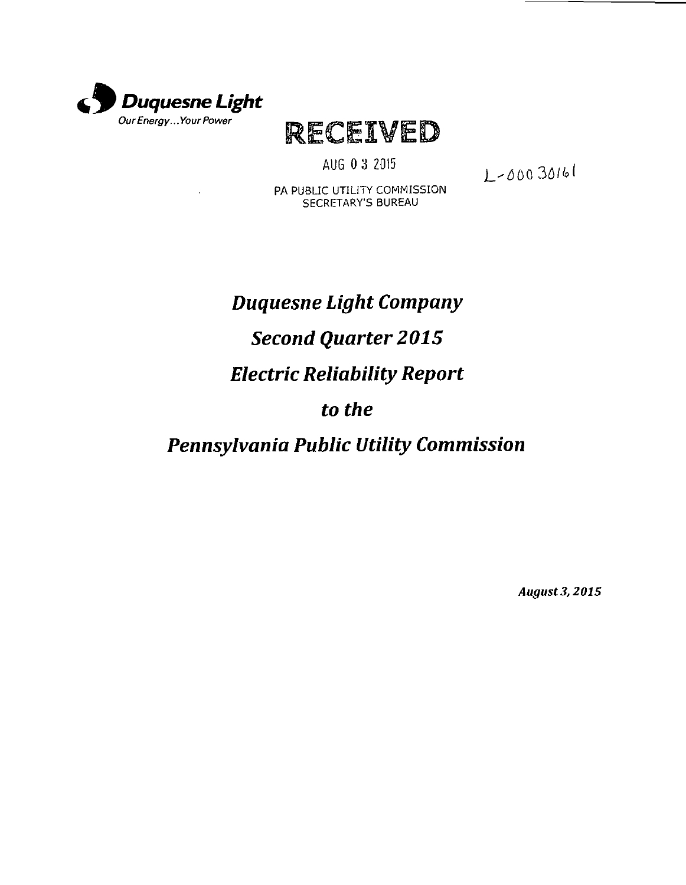

RECEIVED

AUG 0 3 2015

2-00030161

PA PUBLIC UTILITY COMMISSION SECRETARY'S BUREAU

# *Duquesne Light Company Second Quarter 2015 Electric Reliability Report to the*

*Pennsylvania Public Utility Commission* 

*August 3, 2015*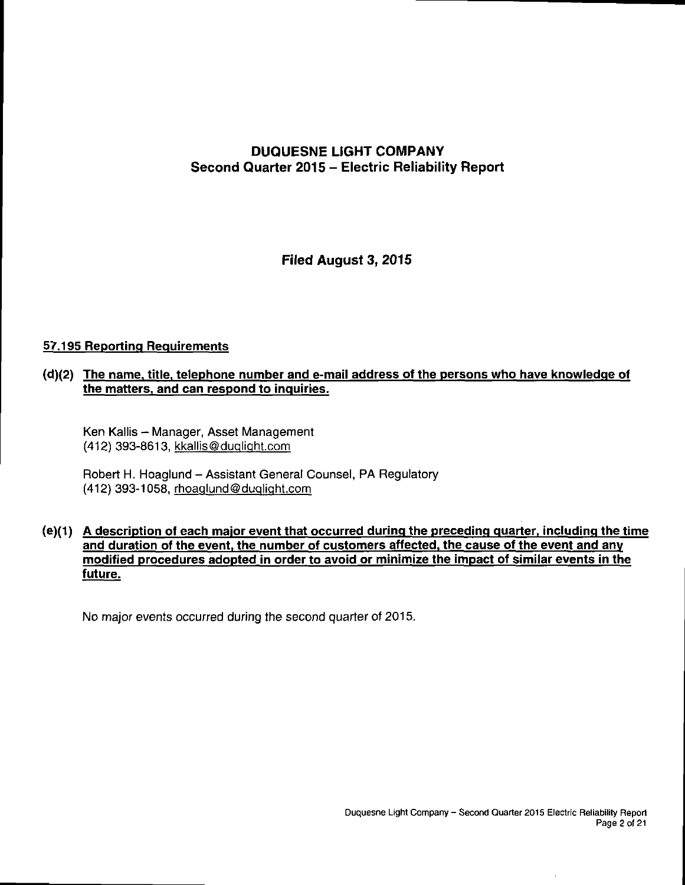#### **DUQUESNE LIGHT COMPANY Second Quarter 2015 - Electric Reliability Report**

**Filed August 3, 2015** 

#### **57.195 Reporting Requirements**

#### **(d) (2) The name, title, telephone number and e-mail address of the persons who have knowledge of the matters, and can respond to inquiries.**

Ken Kallis - Manager, Asset Management (412) 393-8613, kkallis@duqlight.com

Robert H. Hoaglund - Assistant General Counsel, PA Regulatory (412) 393-1058, rhoaqlund@duQliaht.com

#### **(e) (1) A description of each major event that occurred during the preceding quarter, including the time and duration of the event, the number of customers affected, the cause of the event and any modified procedures adopted in order to avoid or minimize the impact of similar events in the future.**

No major events occurred during the second quarter of 2015.

 $\ddot{\phantom{a}}$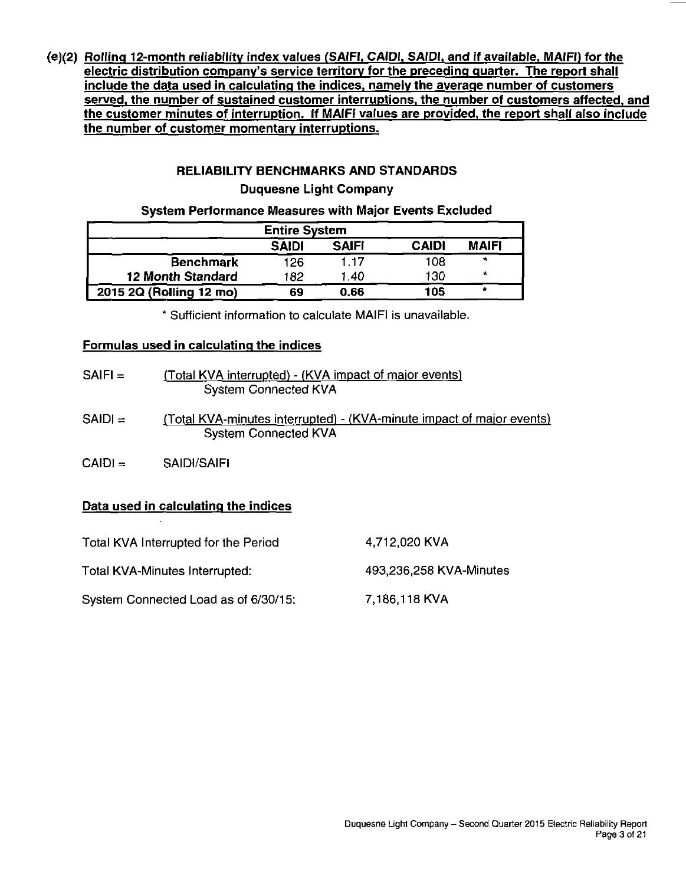**(e)(2) Rolling 12-month reliability index values (SAIFI, CAIDI. SAIDI. and if available. MAIFI) for the electric distribution companv's service territory for the preceding quarter. The report shall include the data used in calculating the indices, namely the averaqe number of customers served, the number of sustained customer interruptions, the number of customers affected, and the customer minutes of interruption. If MAIFI values are provided, the report shall also include the number of customer momentary interruptions.** 

#### **RELIABILITY BENCHMARKS AND STANDARDS**

#### **Duquesne Light Company**

#### **System Performance Measures with Major Events Excluded**

| <b>Entire System</b>                                         |     |      |     |         |  |  |
|--------------------------------------------------------------|-----|------|-----|---------|--|--|
| <b>CAIDI</b><br><b>MAIFI</b><br><b>SAIFI</b><br><b>SAIDI</b> |     |      |     |         |  |  |
| <b>Benchmark</b>                                             | 126 | 117  | 108 | $\star$ |  |  |
| <b>12 Month Standard</b>                                     | 182 | 1.40 | 130 | ۰       |  |  |
| 2015 2Q (Rolling 12 mo)                                      | 69  | 0.66 | 105 |         |  |  |

Sufficient information to calculate MAIFI is unavailable.

#### **Formulas used in calculating the indices**

| $SAIFI =$ | (Total KVA interrupted) - (KVA impact of major events)<br><b>System Connected KVA</b>                |
|-----------|------------------------------------------------------------------------------------------------------|
| $SAIDI =$ | (Total KVA-minutes interrupted) - (KVA-minute impact of major events)<br><b>System Connected KVA</b> |
| $CA D  =$ | SAIDI/SAIFI                                                                                          |

#### **Data used in calculating the indices**

 $\mathbf{r}$ 

| Total KVA Interrupted for the Period | 4,712,020 KVA           |
|--------------------------------------|-------------------------|
| Total KVA-Minutes Interrupted:       | 493,236,258 KVA-Minutes |
| System Connected Load as of 6/30/15: | 7,186,118 KVA           |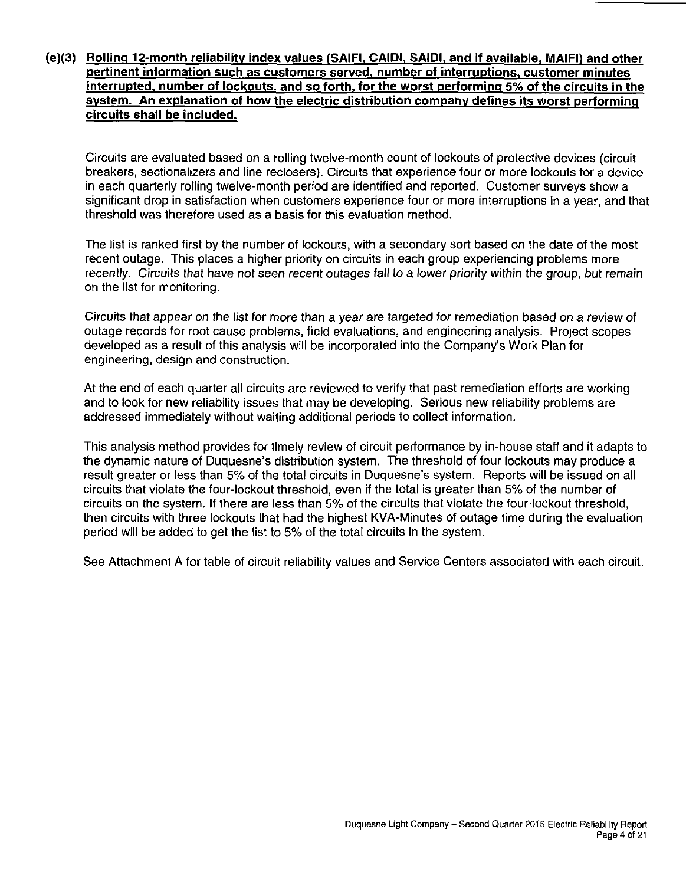#### **(e)(3) Rolling 12-month reliability index values (SAIFI. CAIDI, SAIDI. and if available. MAIFI) and other pertinent information such as customers served, number of interruptions, customer minutes interrupted, number of lockouts, and so forth, for the worst performing 5% of the circuits in the system. An explanation of how the electric distribution companv defines its worst performing circuits shall be included.**

Circuits are evaluated based on a rolling twelve-month count of lockouts of protective devices (circuit breakers, sectionalizers and line reclosers). Circuits that experience four or more lockouts for a device in each quarterly rolling twelve-month period are identified and reported. Customer surveys show a significant drop in satisfaction when customers experience four or more interruptions in a year, and that threshold was therefore used as a basis for this evaluation method.

The list is ranked first by the number of lockouts, with a secondary sort based on the date of the most recent outage. This places a higher priority on circuits in each group experiencing problems more recently. Circuits that have not seen recent outages fall to a lower priority within the group, but remain on the list for monitoring.

Circuits that appear on the list for more than a year are targeted for remediation based on a review of outage records for root cause problems, field evaluations, and engineering analysis. Project scopes developed as a result of this analysis will be incorporated into the Company's Work Plan for engineering, design and construction.

At the end of each quarter all circuits are reviewed to verify that past remediation efforts are working and to look for new reliability issues that may be developing. Serious new reliability problems are addressed immediately without waiting additional periods to collect information.

This analysis method provides for timely review of circuit performance by in-house staff and it adapts to the dynamic nature of Duquesne's distribution system. The threshold of four lockouts may produce a result greater or less than 5% of the total circuits in Duquesne's system. Reports will be issued on all circuits that violate the four-lockout threshold, even if the total is greater than 5% of the number of circuits on the system. If there are less than 5% of the circuits that violate the four-lockout threshold, then circuits with three lockouts that had the highest KVA-Minutes of outage time during the evaluation period will be added to get the list to 5% of the total circuits in the system.

See Attachment A for table of circuit reliability values and Service Centers associated with each circuit.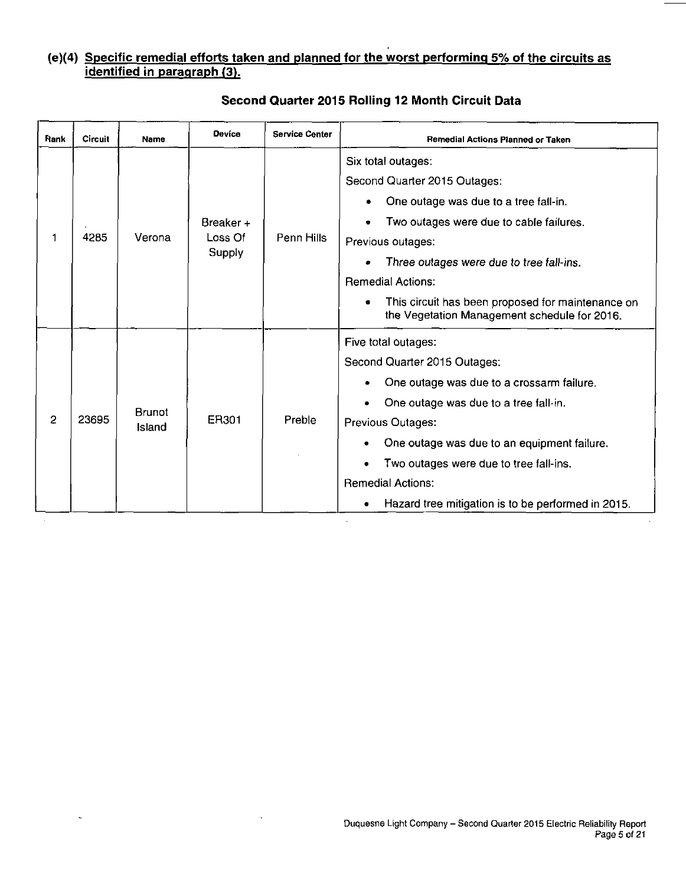#### **(e)(4) Specific remedial efforts taken and planned for the worst performing 5% of the circuits as identified in paragraph (3).**

| Rank           | Circuit | Name                    | <b>Device</b>                  | <b>Service Center</b> | Remedial Actions Planned or Taken                                                                                                                                                                                                                                                                                                              |
|----------------|---------|-------------------------|--------------------------------|-----------------------|------------------------------------------------------------------------------------------------------------------------------------------------------------------------------------------------------------------------------------------------------------------------------------------------------------------------------------------------|
|                | 4285    | Verona                  | Breaker +<br>Loss Of<br>Supply | Penn Hills            | Six total outages:<br>Second Quarter 2015 Outages:<br>One outage was due to a tree fall-in.<br>Two outages were due to cable failures.<br>Previous outages:<br>Three outages were due to tree fall-ins.<br><b>Remedial Actions:</b><br>This circuit has been proposed for maintenance on<br>the Vegetation Management schedule for 2016.       |
| $\overline{2}$ | 23695   | <b>Brunot</b><br>Island | ER301                          | Preble                | Five total outages:<br>Second Quarter 2015 Outages:<br>One outage was due to a crossarm failure.<br>One outage was due to a tree fall-in.<br>Previous Outages:<br>One outage was due to an equipment failure.<br>Two outages were due to tree fall-ins.<br><b>Remedial Actions:</b><br>Hazard tree mitigation is to be performed in 2015.<br>٠ |

L,

**Second Quarter 2015 Rolling 12 Month Circuit Data**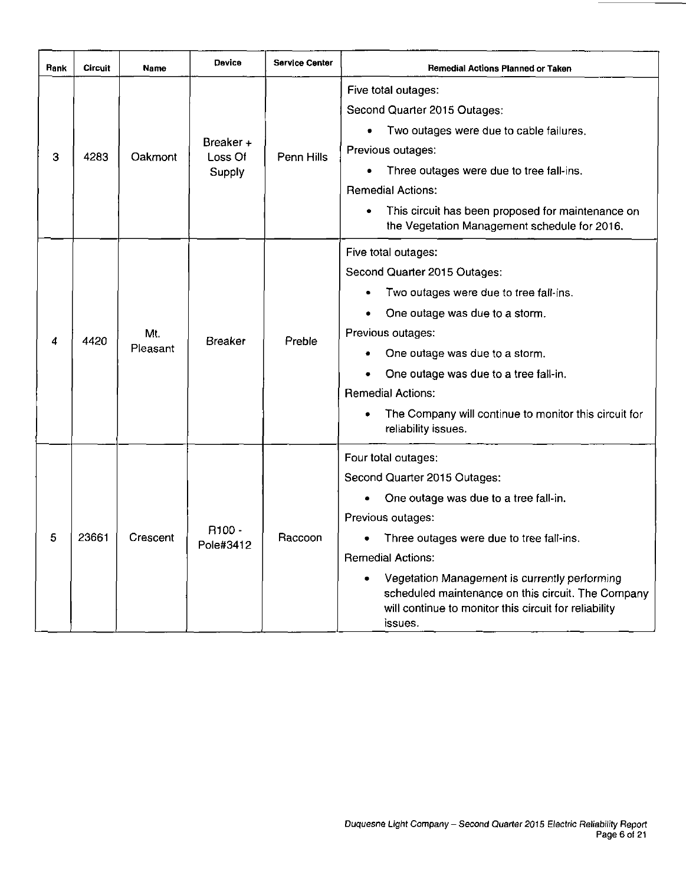| <b>Rank</b> | <b>Circuit</b> | Name            | Device                          | <b>Service Center</b> | Remedial Actions Planned or Taken                                                                                                                                                                                                                                                                                                                                              |
|-------------|----------------|-----------------|---------------------------------|-----------------------|--------------------------------------------------------------------------------------------------------------------------------------------------------------------------------------------------------------------------------------------------------------------------------------------------------------------------------------------------------------------------------|
| З           | 4283           | Oakmont         | Breaker +<br>Loss Of<br>Supply  | Penn Hills            | Five total outages:<br>Second Quarter 2015 Outages:<br>Two outages were due to cable failures.<br>$\bullet$<br>Previous outages:<br>Three outages were due to tree fall-ins.<br>$\bullet$<br><b>Remedial Actions:</b><br>This circuit has been proposed for maintenance on<br>the Vegetation Management schedule for 2016.                                                     |
| 4           | 4420           | Mt.<br>Pleasant | Breaker                         | Preble                | Five total outages:<br>Second Quarter 2015 Outages:<br>Two outages were due to tree fall-ins.<br>One outage was due to a storm.<br>Previous outages:<br>One outage was due to a storm.<br>One outage was due to a tree fall-in.<br><b>Remedial Actions:</b><br>The Company will continue to monitor this circuit for<br>reliability issues.                                    |
| 5           | 23661          | Crescent        | R <sub>100</sub> -<br>Pole#3412 | Raccoon               | Four total outages:<br>Second Quarter 2015 Outages:<br>One outage was due to a tree fall-in.<br>٠<br>Previous outages:<br>Three outages were due to tree fall-ins.<br>٠<br><b>Remedial Actions:</b><br>Vegetation Management is currently performing<br>scheduled maintenance on this circuit. The Company<br>will continue to monitor this circuit for reliability<br>issues. |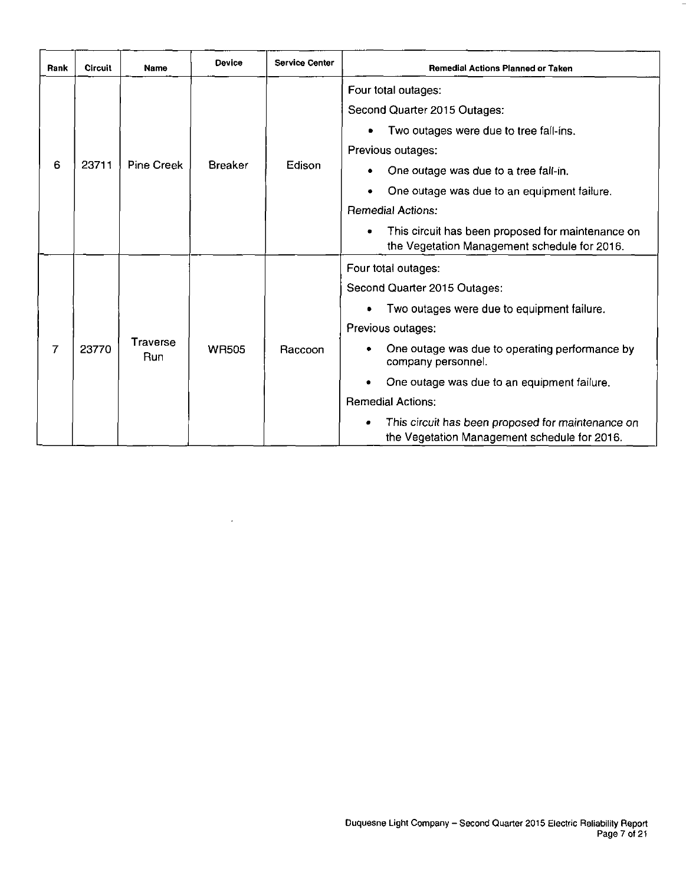| Rank | <b>Circuit</b> | <b>Name</b>       | <b>Device</b>  | <b>Service Center</b> | <b>Remedial Actions Planned or Taken</b>                                                                                                                                                                                                                                                                                                                                       |
|------|----------------|-------------------|----------------|-----------------------|--------------------------------------------------------------------------------------------------------------------------------------------------------------------------------------------------------------------------------------------------------------------------------------------------------------------------------------------------------------------------------|
| 6    | 23711          | <b>Pine Creek</b> | <b>Breaker</b> | Edison                | Four total outages:<br>Second Quarter 2015 Outages:<br>Two outages were due to tree fall-ins.<br>Previous outages:<br>One outage was due to a tree fall-in.<br>One outage was due to an equipment failure.<br><b>Remedial Actions:</b><br>This circuit has been proposed for maintenance on<br>٠<br>the Vegetation Management schedule for 2016.                               |
| 7    | 23770          | Traverse<br>Run   | <b>WR505</b>   | Raccoon               | Four total outages:<br>Second Quarter 2015 Outages:<br>Two outages were due to equipment failure.<br>Previous outages:<br>One outage was due to operating performance by<br>company personnel.<br>One outage was due to an equipment failure.<br><b>Remedial Actions:</b><br>This circuit has been proposed for maintenance on<br>the Vegetation Management schedule for 2016. |

 $\bar{z}$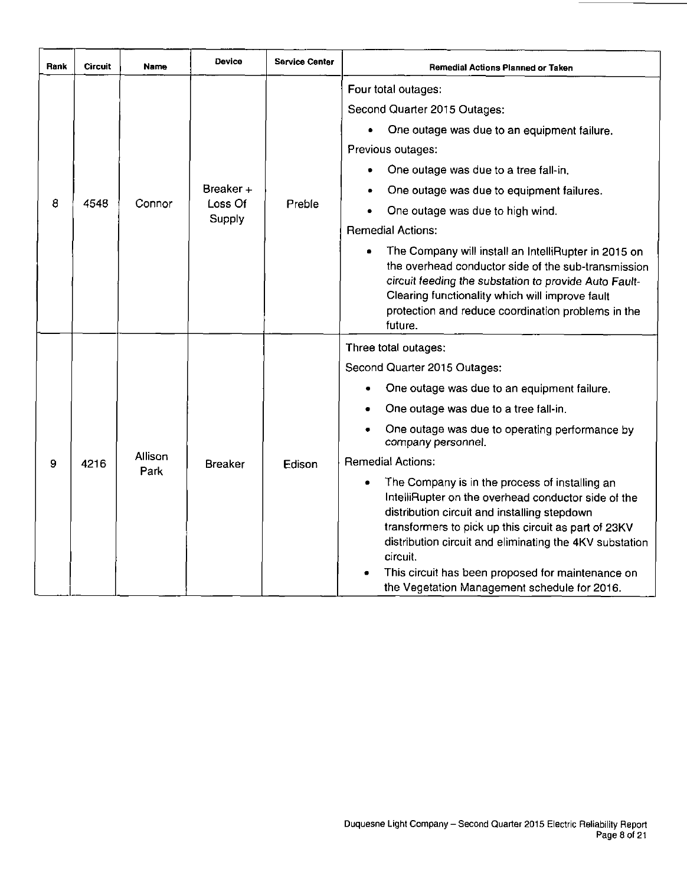| Rank | <b>Circuit</b> | Name            | <b>Device</b>     | <b>Service Center</b> | Remedial Actions Planned or Taken                                                                                                                                                                                                                                                                                                                                                         |
|------|----------------|-----------------|-------------------|-----------------------|-------------------------------------------------------------------------------------------------------------------------------------------------------------------------------------------------------------------------------------------------------------------------------------------------------------------------------------------------------------------------------------------|
|      |                |                 |                   |                       | Four total outages:                                                                                                                                                                                                                                                                                                                                                                       |
|      |                |                 |                   |                       | Second Quarter 2015 Outages:                                                                                                                                                                                                                                                                                                                                                              |
|      |                |                 |                   |                       | One outage was due to an equipment failure.                                                                                                                                                                                                                                                                                                                                               |
|      |                |                 |                   |                       | Previous outages:                                                                                                                                                                                                                                                                                                                                                                         |
|      |                |                 |                   |                       | One outage was due to a tree fall-in.                                                                                                                                                                                                                                                                                                                                                     |
|      |                |                 | Breaker $+$       |                       | One outage was due to equipment failures.                                                                                                                                                                                                                                                                                                                                                 |
| 8    | 4548           | Connor          | Loss Of<br>Supply | Preble                | One outage was due to high wind.                                                                                                                                                                                                                                                                                                                                                          |
|      |                |                 |                   |                       | <b>Remedial Actions:</b>                                                                                                                                                                                                                                                                                                                                                                  |
|      |                |                 |                   |                       | The Company will install an IntelliRupter in 2015 on<br>the overhead conductor side of the sub-transmission<br>circuit feeding the substation to provide Auto Fault-<br>Clearing functionality which will improve fault<br>protection and reduce coordination problems in the<br>future.                                                                                                  |
|      |                |                 |                   |                       | Three total outages:                                                                                                                                                                                                                                                                                                                                                                      |
|      |                |                 |                   |                       | Second Quarter 2015 Outages:                                                                                                                                                                                                                                                                                                                                                              |
|      |                |                 |                   |                       | One outage was due to an equipment failure.                                                                                                                                                                                                                                                                                                                                               |
|      |                |                 |                   |                       | One outage was due to a tree fall-in.                                                                                                                                                                                                                                                                                                                                                     |
|      |                |                 |                   |                       | One outage was due to operating performance by<br>company personnel.                                                                                                                                                                                                                                                                                                                      |
| 9    | 4216           | Allison<br>Park | <b>Breaker</b>    | Edison                | <b>Remedial Actions:</b>                                                                                                                                                                                                                                                                                                                                                                  |
|      |                |                 |                   |                       | The Company is in the process of installing an<br>IntelliRupter on the overhead conductor side of the<br>distribution circuit and installing stepdown<br>transformers to pick up this circuit as part of 23KV<br>distribution circuit and eliminating the 4KV substation<br>circuit.<br>This circuit has been proposed for maintenance on<br>the Vegetation Management schedule for 2016. |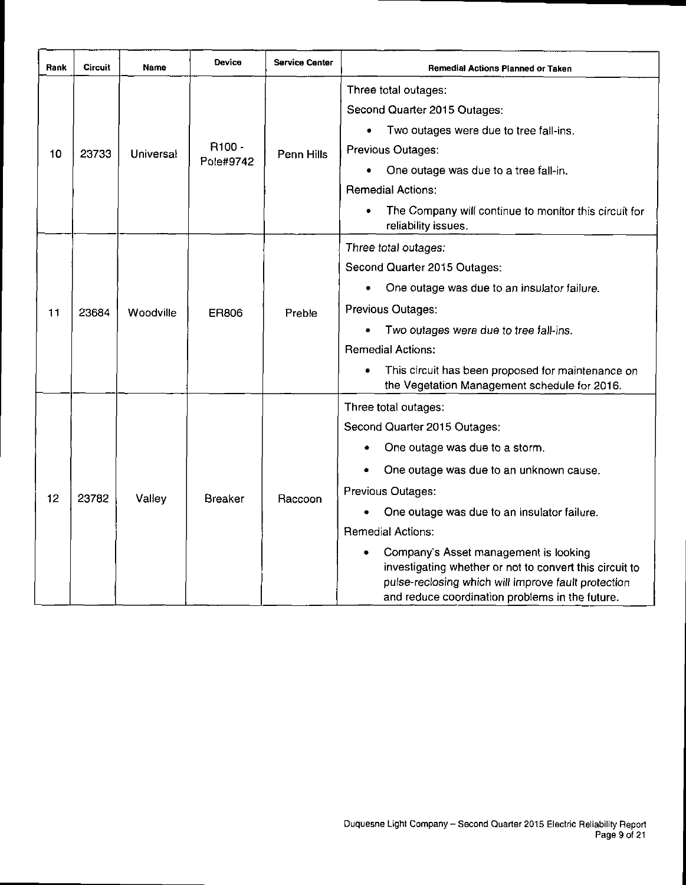| Rank | Circuit | Name      | Device             | <b>Service Center</b> | Remedial Actions Planned or Taken                                                                                                                                                                               |
|------|---------|-----------|--------------------|-----------------------|-----------------------------------------------------------------------------------------------------------------------------------------------------------------------------------------------------------------|
|      |         |           |                    |                       | Three total outages:                                                                                                                                                                                            |
|      |         |           |                    |                       | Second Quarter 2015 Outages:                                                                                                                                                                                    |
|      |         |           |                    |                       | Two outages were due to tree fall-ins.                                                                                                                                                                          |
| 10   | 23733   | Universal | R <sub>100</sub> - | Penn Hills            | Previous Outages:                                                                                                                                                                                               |
|      |         |           | Pole#9742          |                       | One outage was due to a tree fall-in.                                                                                                                                                                           |
|      |         |           |                    |                       | <b>Remedial Actions:</b>                                                                                                                                                                                        |
|      |         |           |                    |                       | The Company will continue to monitor this circuit for<br>reliability issues.                                                                                                                                    |
|      |         |           |                    |                       | Three total outages:                                                                                                                                                                                            |
|      |         |           | <b>ER806</b>       | Preble                | Second Quarter 2015 Outages:                                                                                                                                                                                    |
|      | 23684   | Woodville |                    |                       | One outage was due to an insulator failure.                                                                                                                                                                     |
| 11   |         |           |                    |                       | Previous Outages:                                                                                                                                                                                               |
|      |         |           |                    |                       | Two outages were due to tree fall-ins.                                                                                                                                                                          |
|      |         |           |                    |                       | <b>Remedial Actions:</b>                                                                                                                                                                                        |
|      |         |           |                    |                       | This circuit has been proposed for maintenance on                                                                                                                                                               |
|      |         |           |                    |                       | the Vegetation Management schedule for 2016.                                                                                                                                                                    |
|      |         |           |                    |                       | Three total outages:                                                                                                                                                                                            |
|      |         |           |                    |                       | Second Quarter 2015 Outages:                                                                                                                                                                                    |
|      |         |           |                    |                       | One outage was due to a storm.                                                                                                                                                                                  |
|      |         |           |                    |                       | One outage was due to an unknown cause.                                                                                                                                                                         |
| 12   | 23782   | Valley    | <b>Breaker</b>     | Raccoon               | Previous Outages:                                                                                                                                                                                               |
|      |         |           |                    |                       | One outage was due to an insulator failure.                                                                                                                                                                     |
|      |         |           |                    |                       | <b>Remedial Actions:</b>                                                                                                                                                                                        |
|      |         |           |                    |                       | Company's Asset management is looking<br>٠<br>investigating whether or not to convert this circuit to<br>pulse-reclosing which will improve fault protection<br>and reduce coordination problems in the future. |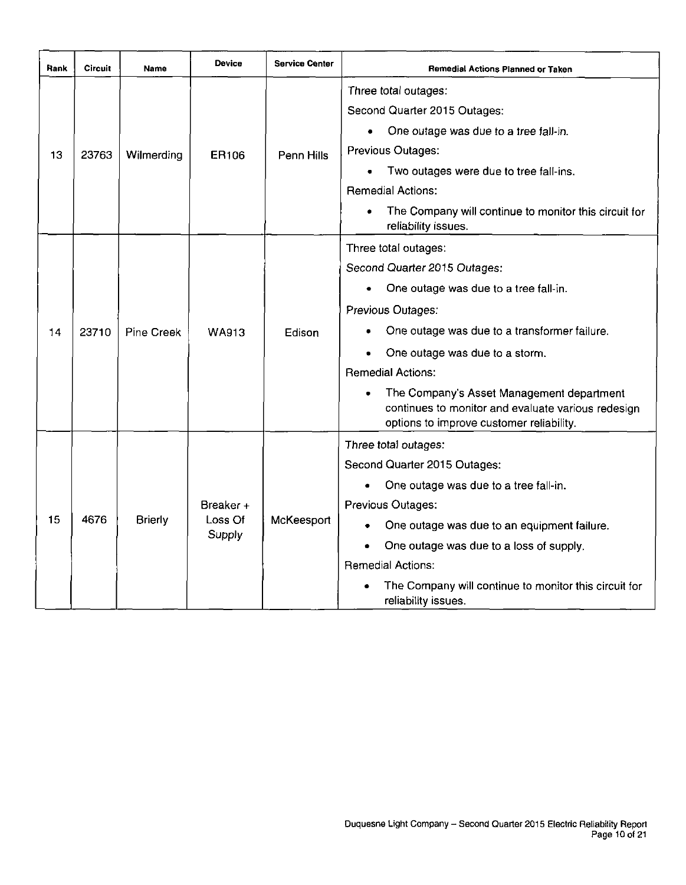| Rank | Circuit | Name           | Device            | <b>Service Center</b> | <b>Remedial Actions Planned or Taken</b>                                                                                                    |
|------|---------|----------------|-------------------|-----------------------|---------------------------------------------------------------------------------------------------------------------------------------------|
|      |         |                |                   |                       | Three total outages:                                                                                                                        |
|      |         |                |                   |                       | Second Quarter 2015 Outages:                                                                                                                |
|      |         |                |                   |                       | One outage was due to a tree fall-in.                                                                                                       |
| 13   | 23763   | Wilmerding     | ER106             | Penn Hills            | Previous Outages:                                                                                                                           |
|      |         |                |                   |                       | Two outages were due to tree fall-ins.                                                                                                      |
|      |         |                |                   |                       | <b>Remedial Actions:</b>                                                                                                                    |
|      |         |                |                   |                       | The Company will continue to monitor this circuit for<br>reliability issues.                                                                |
|      |         |                |                   |                       | Three total outages:                                                                                                                        |
|      |         | Pine Creek     | <b>WA913</b>      | Edison                | Second Quarter 2015 Outages:                                                                                                                |
|      |         |                |                   |                       | One outage was due to a tree fall-in.                                                                                                       |
|      |         |                |                   |                       | Previous Outages:                                                                                                                           |
| 14   | 23710   |                |                   |                       | One outage was due to a transformer failure.                                                                                                |
|      |         |                |                   |                       | One outage was due to a storm.                                                                                                              |
|      |         |                |                   |                       | <b>Remedial Actions:</b>                                                                                                                    |
|      |         |                |                   |                       | The Company's Asset Management department<br>continues to monitor and evaluate various redesign<br>options to improve customer reliability. |
|      |         |                |                   |                       | Three total outages:                                                                                                                        |
|      |         |                |                   |                       | Second Quarter 2015 Outages:                                                                                                                |
|      |         |                |                   |                       | One outage was due to a tree fall-in.                                                                                                       |
|      |         |                | Breaker +         |                       | Previous Outages:                                                                                                                           |
| 15   | 4676    | <b>Brierly</b> | Loss Of<br>Supply | McKeesport            | One outage was due to an equipment failure.                                                                                                 |
|      |         |                |                   |                       | One outage was due to a loss of supply.                                                                                                     |
|      |         |                |                   |                       | <b>Remedial Actions:</b>                                                                                                                    |
|      |         |                |                   |                       | The Company will continue to monitor this circuit for<br>reliability issues.                                                                |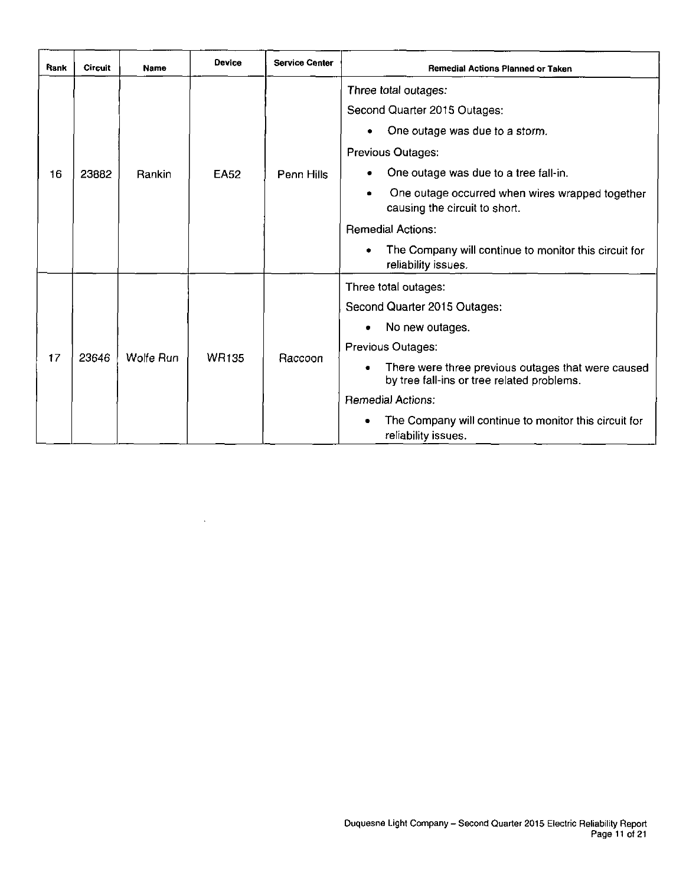| Rank | <b>Circuit</b> | Name      | Device       | <b>Service Center</b> | <b>Remedial Actions Planned or Taken</b>                                                         |
|------|----------------|-----------|--------------|-----------------------|--------------------------------------------------------------------------------------------------|
|      |                |           |              |                       | Three total outages:                                                                             |
|      |                |           |              |                       | Second Quarter 2015 Outages:                                                                     |
|      |                |           |              |                       | One outage was due to a storm.                                                                   |
|      |                |           |              |                       | Previous Outages:                                                                                |
| 16   | 23882          | Rankin    | <b>EA52</b>  | Penn Hills            | One outage was due to a tree fall-in.                                                            |
|      |                |           |              |                       | One outage occurred when wires wrapped together<br>causing the circuit to short.                 |
|      |                |           |              |                       | <b>Remedial Actions:</b>                                                                         |
|      |                |           |              |                       | The Company will continue to monitor this circuit for<br>reliability issues.                     |
|      |                |           |              |                       | Three total outages:                                                                             |
|      |                |           |              |                       | Second Quarter 2015 Outages:                                                                     |
|      |                |           |              |                       | No new outages.<br>۰                                                                             |
|      |                |           |              |                       | Previous Outages:                                                                                |
| 17   | 23646          | Wolfe Run | <b>WR135</b> | Raccoon               | There were three previous outages that were caused<br>by tree fall-ins or tree related problems. |
|      |                |           |              |                       | <b>Remedial Actions:</b>                                                                         |
|      |                |           |              |                       | The Company will continue to monitor this circuit for<br>reliability issues.                     |

 $\lambda$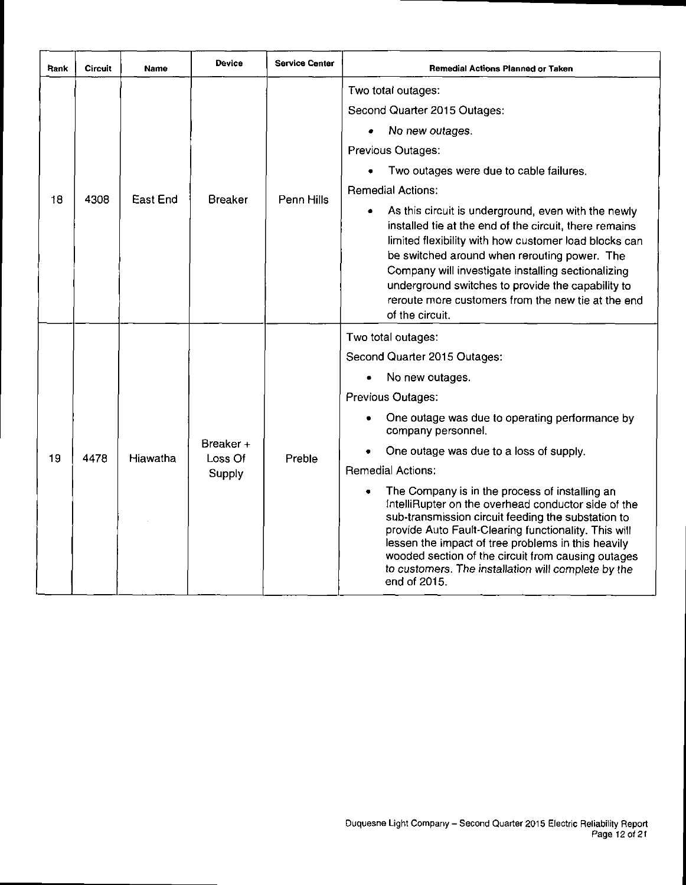| Pank | Circuit | <b>Name</b> | Device               | <b>Service Center</b> | <b>Remedial Actions Planned or Taken</b>                                                                                                                                                                                                                                                                                                                                                                        |
|------|---------|-------------|----------------------|-----------------------|-----------------------------------------------------------------------------------------------------------------------------------------------------------------------------------------------------------------------------------------------------------------------------------------------------------------------------------------------------------------------------------------------------------------|
|      |         |             |                      |                       | Two total outages:                                                                                                                                                                                                                                                                                                                                                                                              |
|      |         |             |                      |                       | Second Quarter 2015 Outages:                                                                                                                                                                                                                                                                                                                                                                                    |
|      |         |             |                      |                       | No new outages.                                                                                                                                                                                                                                                                                                                                                                                                 |
|      |         |             |                      |                       | Previous Outages:                                                                                                                                                                                                                                                                                                                                                                                               |
|      |         |             |                      |                       | Two outages were due to cable failures.                                                                                                                                                                                                                                                                                                                                                                         |
|      | 4308    | East End    | <b>Breaker</b>       | Penn Hills            | <b>Remedial Actions:</b>                                                                                                                                                                                                                                                                                                                                                                                        |
| 18   |         |             |                      |                       | As this circuit is underground, even with the newly<br>٠<br>installed tie at the end of the circuit, there remains<br>limited flexibility with how customer load blocks can<br>be switched around when rerouting power. The<br>Company will investigate installing sectionalizing<br>underground switches to provide the capability to<br>reroute more customers from the new tie at the end<br>of the circuit. |
|      |         |             |                      |                       | Two total outages:                                                                                                                                                                                                                                                                                                                                                                                              |
|      |         |             |                      |                       | Second Quarter 2015 Outages:                                                                                                                                                                                                                                                                                                                                                                                    |
|      |         |             |                      |                       | No new outages.                                                                                                                                                                                                                                                                                                                                                                                                 |
|      |         |             |                      |                       | Previous Outages:                                                                                                                                                                                                                                                                                                                                                                                               |
|      |         |             |                      |                       | One outage was due to operating performance by<br>company personnel.                                                                                                                                                                                                                                                                                                                                            |
| 19   | 4478    | Hiawatha    | Breaker +<br>Loss Of | Preble                | One outage was due to a loss of supply.                                                                                                                                                                                                                                                                                                                                                                         |
|      |         |             | Supply               |                       | <b>Remedial Actions:</b>                                                                                                                                                                                                                                                                                                                                                                                        |
|      |         |             |                      |                       | The Company is in the process of installing an<br>IntelliRupter on the overhead conductor side of the<br>sub-transmission circuit feeding the substation to<br>provide Auto Fault-Clearing functionality. This will<br>lessen the impact of tree problems in this heavily<br>wooded section of the circuit from causing outages<br>to customers. The installation will complete by the<br>end of 2015.          |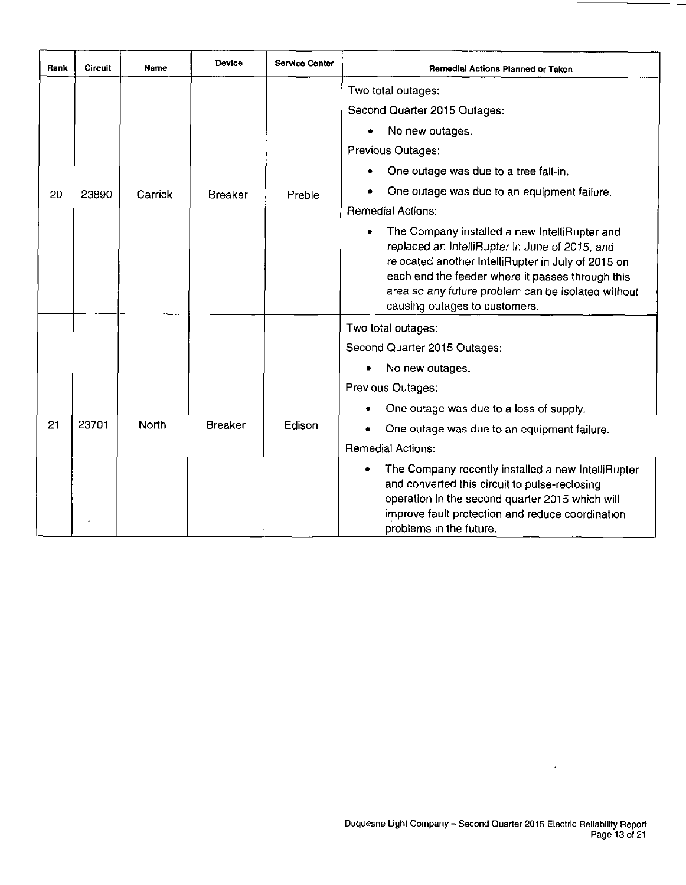| Rank | Circuit | Name         | <b>Device</b>  | <b>Service Center</b> | <b>Remedial Actions Planned or Taken</b>                                                                                                                                                                                                                                                         |
|------|---------|--------------|----------------|-----------------------|--------------------------------------------------------------------------------------------------------------------------------------------------------------------------------------------------------------------------------------------------------------------------------------------------|
|      |         |              |                |                       | Two total outages:                                                                                                                                                                                                                                                                               |
|      |         |              |                |                       | Second Quarter 2015 Outages:                                                                                                                                                                                                                                                                     |
|      |         |              |                |                       | No new outages.                                                                                                                                                                                                                                                                                  |
|      |         |              |                |                       | Previous Outages:                                                                                                                                                                                                                                                                                |
|      |         |              |                |                       | One outage was due to a tree fall-in.                                                                                                                                                                                                                                                            |
| 20   | 23890   | Carrick      | <b>Breaker</b> | Preble                | One outage was due to an equipment failure.                                                                                                                                                                                                                                                      |
|      |         |              |                |                       | <b>Remedial Actions:</b>                                                                                                                                                                                                                                                                         |
|      |         |              |                |                       | The Company installed a new IntelliRupter and<br>replaced an IntelliRupter in June of 2015, and<br>relocated another IntelliRupter in July of 2015 on<br>each end the feeder where it passes through this<br>area so any future problem can be isolated without<br>causing outages to customers. |
|      |         |              |                |                       | Two total outages:                                                                                                                                                                                                                                                                               |
|      |         |              |                |                       | Second Quarter 2015 Outages:                                                                                                                                                                                                                                                                     |
|      |         |              |                |                       | No new outages.                                                                                                                                                                                                                                                                                  |
|      |         |              |                |                       | Previous Outages:                                                                                                                                                                                                                                                                                |
|      |         |              |                |                       | One outage was due to a loss of supply.                                                                                                                                                                                                                                                          |
| 21   | 23701   | <b>North</b> | <b>Breaker</b> | Edison                | One outage was due to an equipment failure.                                                                                                                                                                                                                                                      |
|      |         |              |                |                       | <b>Remedial Actions:</b>                                                                                                                                                                                                                                                                         |
|      |         |              |                |                       | The Company recently installed a new IntelliRupter<br>and converted this circuit to pulse-reclosing<br>operation in the second quarter 2015 which will<br>improve fault protection and reduce coordination<br>problems in the future.                                                            |

 $\ddot{\phantom{a}}$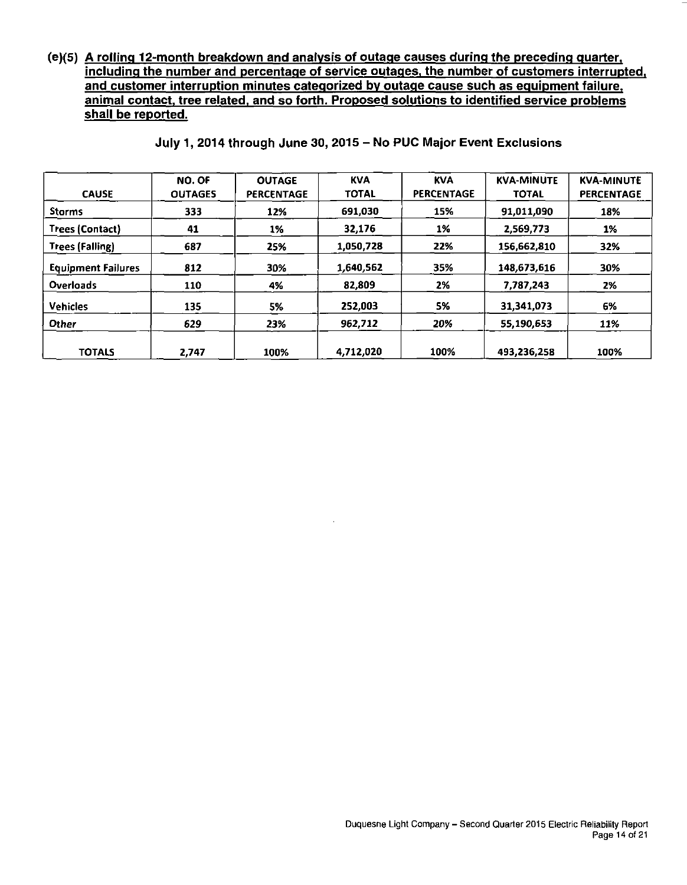**(e)(5) A rolling 12-month breakdown and analysis of outage causes during the preceding quarter. including the number and percentage of service outages, the number of customers interrupted, and customer interruption minutes categorized bv outage cause such as equipment failure, animal contact, tree related, and so forth. Proposed solutions to identified service problems shall be reported.** 

| <b>CAUSE</b>              | NO. OF<br><b>OUTAGES</b> | <b>OUTAGE</b><br><b>PERCENTAGE</b> | <b>KVA</b><br><b>TOTAL</b> | <b>KVA</b><br><b>PERCENTAGE</b> | <b>KVA-MINUTE</b><br><b>TOTAL</b> | <b>KVA-MINUTE</b><br><b>PERCENTAGE</b> |
|---------------------------|--------------------------|------------------------------------|----------------------------|---------------------------------|-----------------------------------|----------------------------------------|
| Storms                    | 333                      | 12%                                | 691.030                    | 15%                             | 91,011,090                        | 18%                                    |
| <b>Trees (Contact)</b>    | 41                       | 1%                                 | 32,176                     | 1%                              | 2,569,773                         | 1%                                     |
| <b>Trees (Falling)</b>    | 687                      | 25%                                | 1,050,728                  | 22%                             | 156,662,810                       | 32%                                    |
| <b>Equipment Failures</b> | 812                      | 30%                                | 1,640,562                  | 35%                             | 148,673,616                       | 30%                                    |
| <b>Overloads</b>          | 110                      | 4%                                 | 82,809                     | 2%                              | 7.787,243                         | 2%                                     |
| <b>Vehicles</b>           | 135                      | 5%                                 | 252,003                    | 5%                              | 31.341.073                        | 6%                                     |
| Other                     | 629                      | 23%                                | 962,712                    | 20%                             | 55,190,653                        | 11%                                    |
| <b>TOTALS</b>             | 2.747                    | 100%                               | 4,712,020                  | 100%                            | 493,236,258                       | 100%                                   |

**July 1, 2014 through June 30, 2015 - No PUC Major Event Exclusions**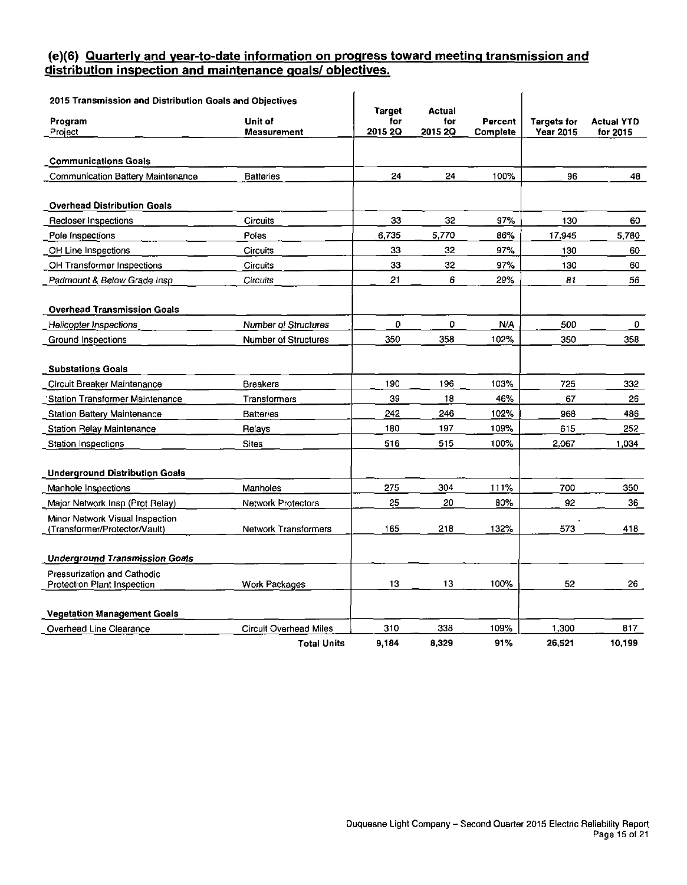#### **(e)(6) Quarterly and vear-to-date information on progress toward meeting transmission and distribution inspection and maintenance goals/ objectives.**

| 2015 Transmission and Distribution Goals and Objectives          |                               |                          |                          |                     |                                        |                               |
|------------------------------------------------------------------|-------------------------------|--------------------------|--------------------------|---------------------|----------------------------------------|-------------------------------|
| Program<br>Project                                               | Unit of<br>Measurement        | Target<br>for<br>2015 2Q | Actual<br>for<br>2015 20 | Percent<br>Complete | <b>Targets for</b><br><b>Year 2015</b> | <b>Actual YTD</b><br>for 2015 |
|                                                                  |                               |                          |                          |                     |                                        |                               |
| <b>Communications Goals</b>                                      |                               |                          |                          |                     |                                        |                               |
| <b>Communication Battery Maintenance</b>                         | <b>Batteries</b>              | 24                       | 24                       | 100%                | 96                                     | 48                            |
| <b>Overhead Distribution Goals</b>                               |                               |                          |                          |                     |                                        |                               |
| Recloser Inspections                                             | <b>Circuits</b>               | 33                       | 32                       | 97%                 | 130                                    | 60                            |
| Pole Inspections                                                 | Poles                         | 6,735                    | 5,770                    | 86%                 | 17,945                                 | 5,780                         |
| OH Line Inspections                                              | <b>Circuits</b>               | 33                       | 32                       | 97%                 | 130                                    | 60                            |
| OH Transformer Inspections                                       | Circuits                      | 33                       | 32                       | 97%                 | 130                                    | 60                            |
| Padmount & Below Grade Insp                                      | Circuits                      | 21                       | 6                        | 29%                 | 81                                     | 56                            |
| <b>Overhead Transmission Goals</b>                               |                               |                          |                          |                     |                                        |                               |
| <b>Helicopter Inspections</b>                                    | <b>Number of Structures</b>   | 0                        | 0                        | N/A                 | 500                                    | 0                             |
| Ground Inspections                                               | <b>Number of Structures</b>   | 350                      | 358                      | 102%                | 350                                    | 358                           |
| <b>Substations Goals</b>                                         |                               |                          |                          |                     |                                        |                               |
| Circuit Breaker Maintenance                                      | Breakers                      | 190                      | 196                      | 103%                | 725                                    | 332                           |
| 'Station Transformer Maintenance                                 | Transformers                  | 39                       | 18                       | 46%                 | 67                                     | 26                            |
| <b>Station Battery Maintenance</b>                               | <b>Batteries</b>              | 242                      | 246                      | 102%                | 968                                    | 486                           |
| <b>Station Relay Maintenance</b>                                 | Relays                        | 180                      | 197                      | 109%                | 615                                    | 252                           |
| Station Inspections                                              | <b>Sites</b>                  | 516                      | 515                      | 100%                | 2,067                                  | 1,034                         |
| <b>Underground Distribution Goals</b>                            |                               |                          |                          |                     |                                        |                               |
| Manhole Inspections                                              | Manholes                      | 275                      | 304                      | 111%                | 700                                    | 350                           |
| Major Network Insp (Prot Relay)                                  | <b>Network Protectors</b>     | 25                       | 20                       | 80%                 | 92                                     | 36                            |
| Minor Network Visual Inspection<br>(Transformer/Protector/Vault) | <b>Network Transformers</b>   | 165                      | 218                      | 132%                | 573                                    | 418                           |
| <b>Underground Transmission Goals</b>                            |                               |                          |                          |                     |                                        |                               |
| Pressurization and Cathodic                                      |                               |                          |                          |                     |                                        |                               |
| Protection Plant Inspection                                      | Work Packages                 | 13                       | 13                       | 100%                | 52                                     | 26                            |
| <b>Vegetation Management Goals</b>                               |                               |                          |                          |                     |                                        |                               |
| Overhead Line Clearance                                          | <b>Circuit Overhead Miles</b> | 310                      | 338                      | 109%                | 1,300                                  | 817                           |
|                                                                  | <b>Total Units</b>            | 9.184                    | 8,329                    | 91%                 | 26,521                                 | 10,199                        |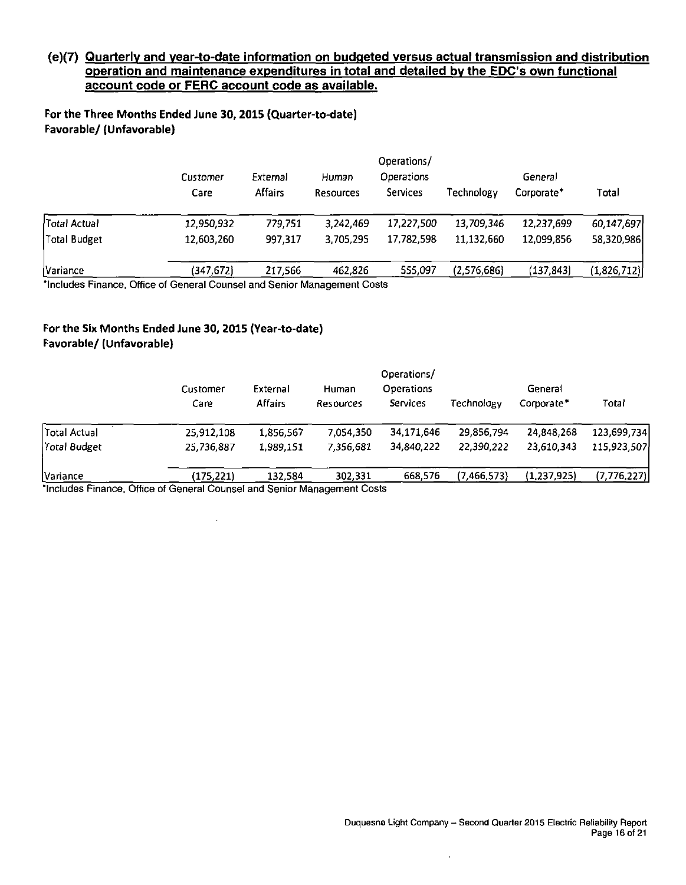#### **(e)(7) Quarterly and vear-to-date information on budgeted versus actual transmission and distribution operation and maintenance expenditures in total and detailed by the EDC's own functional account code or FERC account code as available.**

**For the Three Months Ended June 30,2015 (Quarter-to-date) Favorable/ (Unfavorable)** 

|                                     | Customer<br>Care                                                                                                                                                                                                                            | External<br>Affairs | Human<br><b>Resources</b> | Operations/<br><b>Operations</b><br>Services | Technology  | General<br>Corporate* | Total       |
|-------------------------------------|---------------------------------------------------------------------------------------------------------------------------------------------------------------------------------------------------------------------------------------------|---------------------|---------------------------|----------------------------------------------|-------------|-----------------------|-------------|
| Total Actual                        | 12,950,932                                                                                                                                                                                                                                  | 779,751             | 3,242,469                 | 17,227,500                                   | 13,709,346  | 12,237,699            | 60,147,697  |
| Total Budget                        | 12,603,260                                                                                                                                                                                                                                  | 997.317             | 3,705,295                 | 17,782,598                                   | 11,132,660  | 12,099,856            | 58,320,986  |
| Variance<br>Marata atawa Pinangaran | (347,672)<br>Citting of Concernation of the contract the compact Contract Contract Contract Contract Contract Contract Contract Contract Contract Contract Contract Contract Contract Contract Contract Contract Contract Contract Contract | 217,566             | 462,826                   | 555,097                                      | (2,576,686) | (137, 843)            | (1,826,712) |

includes Finance, Office of General Counsel and Senior Management Costs

#### **For the Six Months Ended June 30, 2015 (Year-to-date) Favorable/ (Unfavorable)**

|              |                  |                            |                    | Operations/                   |             |                       |               |
|--------------|------------------|----------------------------|--------------------|-------------------------------|-------------|-----------------------|---------------|
|              | Customer<br>Care | External<br><b>Affairs</b> | Human<br>Resources | <b>Operations</b><br>Services | Technology  | General<br>Corporate* | Total         |
| Total Actual | 25,912,108       | 1.856.567                  | 7.054,350          | 34,171,646                    | 29.856.794  | 24,848,268            | 123.699.734   |
| Total Budget | 25,736,887       | 1.989.151                  | 7.356.681          | 34,840,222                    | 22,390,222  | 23,610,343            | 115.923.507   |
| Variance     | (175, 221)       | 132.584                    | 302,331            | 668.576                       | (7,466,573) | (1,237,925)           | (7, 776, 227) |

"Includes Finance, Office of General Counsel and Senior Management Costs

 $\sim$ 

 $\mathcal{A}^{\mathcal{A}}$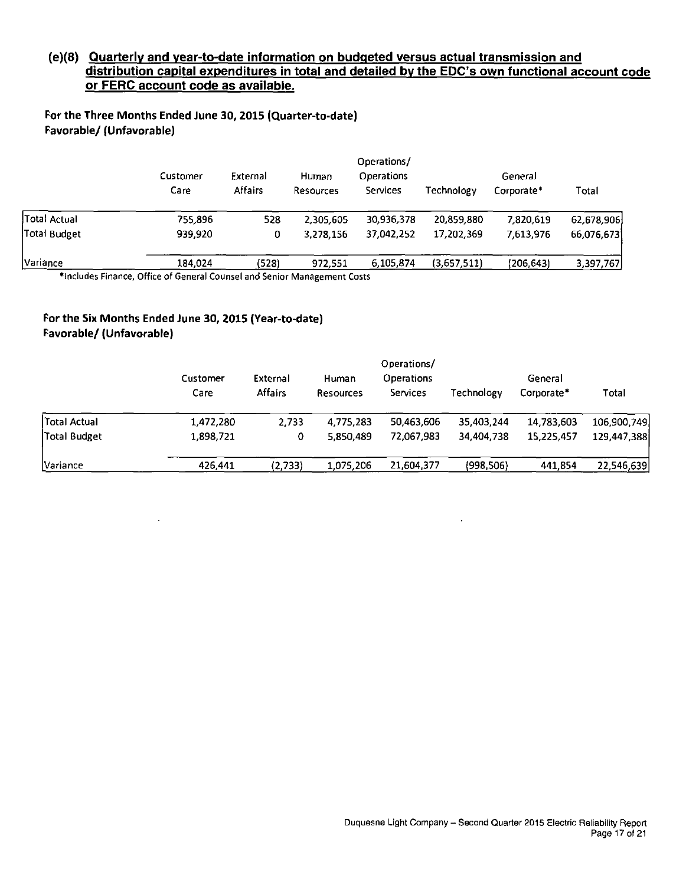#### **(e)(8) Quarterly and vear-to-date information on budgeted versus actual transmission and**  distribution capital expenditures in total and detailed by the EDC's own functional account code **or FERC account code as available.**

**For the Three Months Ended June 30,2015 (Quarter-to-date) Favorable/ (Unfavorable)** 

|              |                  |                            |                    | Operations/                   |             |                       |            |
|--------------|------------------|----------------------------|--------------------|-------------------------------|-------------|-----------------------|------------|
|              | Customer<br>Care | External<br><b>Affairs</b> | Human<br>Resources | Operations<br><b>Services</b> | Technology  | General<br>Corporate* | Total      |
| Total Actual | 755,896          | 528                        | 2,305,605          | 30,936,378                    | 20,859,880  | 7.820.619             | 62,678,906 |
| Total Budget | 939.920          | 0                          | 3,278,156          | 37.042.252                    | 17,202,369  | 7,613,976             | 66.076.673 |
| Variance     | 184.024          | (528)                      | 972,551            | 6,105,874                     | (3,657,511) | (206,643)             | 3,397,767  |

•Includes Finance, Office of General Counsel and Senior Management Costs

#### **For the Six Months Ended June 30, 2015 (Year-to-date) Favorable/ (Unfavorable)**

|              | Customer<br>Care | External<br><b>Affairs</b> | Human<br>Resources | Operations/<br><b>Operations</b><br>Services | Technology | General<br>Corporate* | Total       |
|--------------|------------------|----------------------------|--------------------|----------------------------------------------|------------|-----------------------|-------------|
| Total Actual | 1,472,280        | 2.733                      | 4,775,283          | 50,463,606                                   | 35,403,244 | 14,783,603            | 106,900,749 |
| Total Budget | 1,898,721        | 0                          | 5,850,489          | 72,067.983                                   | 34 404 738 | 15,225,457            | 129,447,388 |
| Variance     | 426,441          | (2,733)                    | 1,075,206          | 21,604,377                                   | (998, 506) | 441,854               | 22,546,639  |

 $\ddot{\phantom{1}}$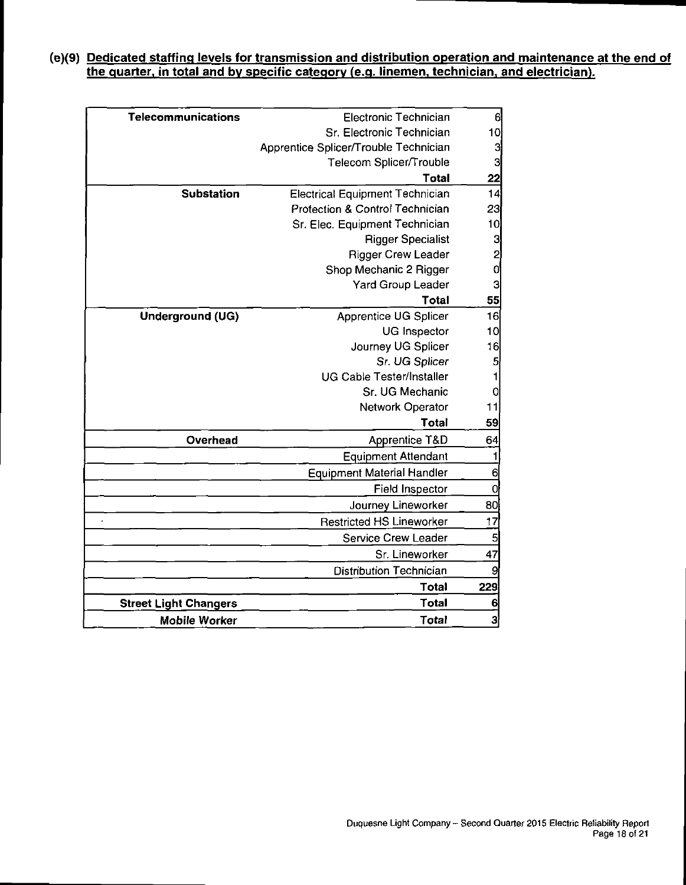#### **(e)(9) Dedicated staffing levels for transmission and distribution operation and maintenance at the end of the guarter. in total and bv specific category (e.g. linemen, technician, and electrician).**

| <b>Telecommunications</b><br><b>Electronic Technician</b><br>Sr. Electronic Technician<br>Apprentice Splicer/Trouble Technician<br>Telecom Splicer/Trouble<br><b>Total</b><br><b>Substation</b><br><b>Electrical Equipment Technician</b><br>Protection & Control Technician<br>Sr. Elec. Equipment Technician<br><b>Rigger Specialist</b><br><b>Rigger Crew Leader</b><br>Shop Mechanic 2 Rigger<br><b>Yard Group Leader</b><br>Total<br>Apprentice UG Splicer<br><b>Underground (UG)</b><br>UG Inspector<br>Journey UG Splicer<br>Sr. UG Splicer<br><b>UG Cable Tester/Installer</b><br>Sr. UG Mechanic<br>Network Operator<br>Total<br>Overhead<br>Apprentice T&D<br><b>Equipment Attendant</b><br><b>Equipment Material Handler</b><br><b>Field Inspector</b><br>Journey Lineworker<br><b>Restricted HS Lineworker</b><br>Service Crew Leader<br>Sr. Lineworker<br><b>Distribution Technician</b><br>Total<br>Total<br><b>Street Light Changers</b><br><b>Total</b><br><b>Mobile Worker</b> |                |  |
|-------------------------------------------------------------------------------------------------------------------------------------------------------------------------------------------------------------------------------------------------------------------------------------------------------------------------------------------------------------------------------------------------------------------------------------------------------------------------------------------------------------------------------------------------------------------------------------------------------------------------------------------------------------------------------------------------------------------------------------------------------------------------------------------------------------------------------------------------------------------------------------------------------------------------------------------------------------------------------------------------|----------------|--|
|                                                                                                                                                                                                                                                                                                                                                                                                                                                                                                                                                                                                                                                                                                                                                                                                                                                                                                                                                                                                 | 6              |  |
|                                                                                                                                                                                                                                                                                                                                                                                                                                                                                                                                                                                                                                                                                                                                                                                                                                                                                                                                                                                                 | 10             |  |
|                                                                                                                                                                                                                                                                                                                                                                                                                                                                                                                                                                                                                                                                                                                                                                                                                                                                                                                                                                                                 | 3              |  |
|                                                                                                                                                                                                                                                                                                                                                                                                                                                                                                                                                                                                                                                                                                                                                                                                                                                                                                                                                                                                 | $\mathbf{3}$   |  |
|                                                                                                                                                                                                                                                                                                                                                                                                                                                                                                                                                                                                                                                                                                                                                                                                                                                                                                                                                                                                 | 22             |  |
|                                                                                                                                                                                                                                                                                                                                                                                                                                                                                                                                                                                                                                                                                                                                                                                                                                                                                                                                                                                                 | 14             |  |
|                                                                                                                                                                                                                                                                                                                                                                                                                                                                                                                                                                                                                                                                                                                                                                                                                                                                                                                                                                                                 | 23             |  |
|                                                                                                                                                                                                                                                                                                                                                                                                                                                                                                                                                                                                                                                                                                                                                                                                                                                                                                                                                                                                 | 10             |  |
|                                                                                                                                                                                                                                                                                                                                                                                                                                                                                                                                                                                                                                                                                                                                                                                                                                                                                                                                                                                                 | <u>ພ ຕ ພ</u> ພ |  |
|                                                                                                                                                                                                                                                                                                                                                                                                                                                                                                                                                                                                                                                                                                                                                                                                                                                                                                                                                                                                 |                |  |
|                                                                                                                                                                                                                                                                                                                                                                                                                                                                                                                                                                                                                                                                                                                                                                                                                                                                                                                                                                                                 |                |  |
|                                                                                                                                                                                                                                                                                                                                                                                                                                                                                                                                                                                                                                                                                                                                                                                                                                                                                                                                                                                                 |                |  |
|                                                                                                                                                                                                                                                                                                                                                                                                                                                                                                                                                                                                                                                                                                                                                                                                                                                                                                                                                                                                 | 55             |  |
|                                                                                                                                                                                                                                                                                                                                                                                                                                                                                                                                                                                                                                                                                                                                                                                                                                                                                                                                                                                                 | 16             |  |
|                                                                                                                                                                                                                                                                                                                                                                                                                                                                                                                                                                                                                                                                                                                                                                                                                                                                                                                                                                                                 | 10             |  |
|                                                                                                                                                                                                                                                                                                                                                                                                                                                                                                                                                                                                                                                                                                                                                                                                                                                                                                                                                                                                 | 16             |  |
|                                                                                                                                                                                                                                                                                                                                                                                                                                                                                                                                                                                                                                                                                                                                                                                                                                                                                                                                                                                                 | $\overline{5}$ |  |
|                                                                                                                                                                                                                                                                                                                                                                                                                                                                                                                                                                                                                                                                                                                                                                                                                                                                                                                                                                                                 | 1              |  |
|                                                                                                                                                                                                                                                                                                                                                                                                                                                                                                                                                                                                                                                                                                                                                                                                                                                                                                                                                                                                 | 0              |  |
|                                                                                                                                                                                                                                                                                                                                                                                                                                                                                                                                                                                                                                                                                                                                                                                                                                                                                                                                                                                                 | 11             |  |
|                                                                                                                                                                                                                                                                                                                                                                                                                                                                                                                                                                                                                                                                                                                                                                                                                                                                                                                                                                                                 | 59             |  |
|                                                                                                                                                                                                                                                                                                                                                                                                                                                                                                                                                                                                                                                                                                                                                                                                                                                                                                                                                                                                 | 64             |  |
|                                                                                                                                                                                                                                                                                                                                                                                                                                                                                                                                                                                                                                                                                                                                                                                                                                                                                                                                                                                                 |                |  |
|                                                                                                                                                                                                                                                                                                                                                                                                                                                                                                                                                                                                                                                                                                                                                                                                                                                                                                                                                                                                 | 6              |  |
|                                                                                                                                                                                                                                                                                                                                                                                                                                                                                                                                                                                                                                                                                                                                                                                                                                                                                                                                                                                                 | $\mathbf 0$    |  |
|                                                                                                                                                                                                                                                                                                                                                                                                                                                                                                                                                                                                                                                                                                                                                                                                                                                                                                                                                                                                 | 80             |  |
|                                                                                                                                                                                                                                                                                                                                                                                                                                                                                                                                                                                                                                                                                                                                                                                                                                                                                                                                                                                                 | 17             |  |
|                                                                                                                                                                                                                                                                                                                                                                                                                                                                                                                                                                                                                                                                                                                                                                                                                                                                                                                                                                                                 | 5              |  |
|                                                                                                                                                                                                                                                                                                                                                                                                                                                                                                                                                                                                                                                                                                                                                                                                                                                                                                                                                                                                 | 47             |  |
|                                                                                                                                                                                                                                                                                                                                                                                                                                                                                                                                                                                                                                                                                                                                                                                                                                                                                                                                                                                                 | 9              |  |
|                                                                                                                                                                                                                                                                                                                                                                                                                                                                                                                                                                                                                                                                                                                                                                                                                                                                                                                                                                                                 | 229            |  |
|                                                                                                                                                                                                                                                                                                                                                                                                                                                                                                                                                                                                                                                                                                                                                                                                                                                                                                                                                                                                 | 6              |  |
|                                                                                                                                                                                                                                                                                                                                                                                                                                                                                                                                                                                                                                                                                                                                                                                                                                                                                                                                                                                                 | 3              |  |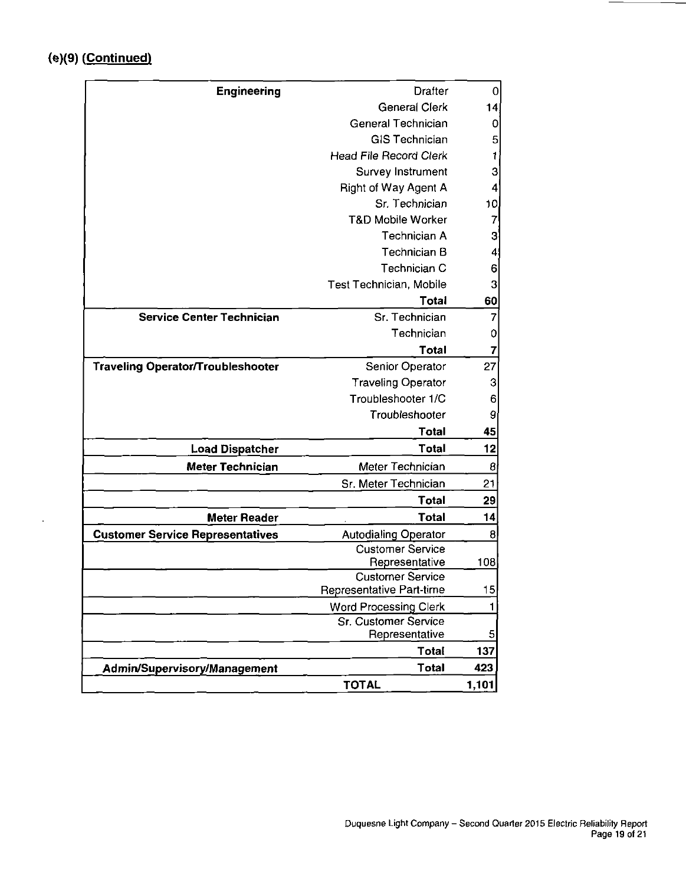$\ddot{\phantom{a}}$ 

| <b>Engineering</b>                       | <b>Drafter</b>                                      | 0     |
|------------------------------------------|-----------------------------------------------------|-------|
|                                          | General Clerk                                       | 14    |
|                                          | General Technician                                  | 0     |
|                                          | <b>GIS Technician</b>                               | 5     |
|                                          | <b>Head File Record Clerk</b>                       | 1     |
|                                          | Survey Instrument                                   | 3     |
|                                          | <b>Right of Way Agent A</b>                         | 4     |
|                                          | Sr. Technician                                      | 10    |
|                                          | <b>T&amp;D Mobile Worker</b>                        | 7     |
|                                          | Technician A                                        | 3     |
|                                          | Technician B                                        | 4     |
|                                          | Technician C                                        | 6     |
|                                          | Test Technician, Mobile                             | 3     |
|                                          | <b>Total</b>                                        | 60    |
| <b>Service Center Technician</b>         | Sr. Technician                                      | 7     |
|                                          | Technician                                          | 0     |
|                                          | <b>Total</b>                                        | 7     |
| <b>Traveling Operator/Troubleshooter</b> | Senior Operator                                     | 27    |
|                                          | <b>Traveling Operator</b>                           | 3     |
|                                          | Troubleshooter 1/C                                  | 6     |
|                                          | Troubleshooter                                      | 9     |
|                                          | <b>Total</b>                                        | 45    |
| <b>Load Dispatcher</b>                   | <b>Total</b>                                        | 12    |
| Meter Technician                         | Meter Technician                                    | 8     |
|                                          | Sr. Meter Technician                                | 21    |
|                                          | <b>Total</b>                                        | 29    |
| <b>Meter Reader</b>                      | <b>Total</b>                                        | 14    |
| <b>Customer Service Representatives</b>  | <b>Autodialing Operator</b>                         | 8     |
|                                          | <b>Customer Service</b>                             |       |
|                                          | Representative                                      | 108   |
|                                          | <b>Customer Service</b><br>Representative Part-time | 15    |
|                                          | <b>Word Processing Clerk</b>                        | 1     |
|                                          | Sr. Customer Service                                |       |
|                                          | Representative                                      | 5     |
|                                          | <b>Total</b>                                        | 137   |
| Admin/Supervisory/Management             | <b>Total</b>                                        | 423   |
|                                          | <b>TOTAL</b>                                        | 1,101 |
|                                          |                                                     |       |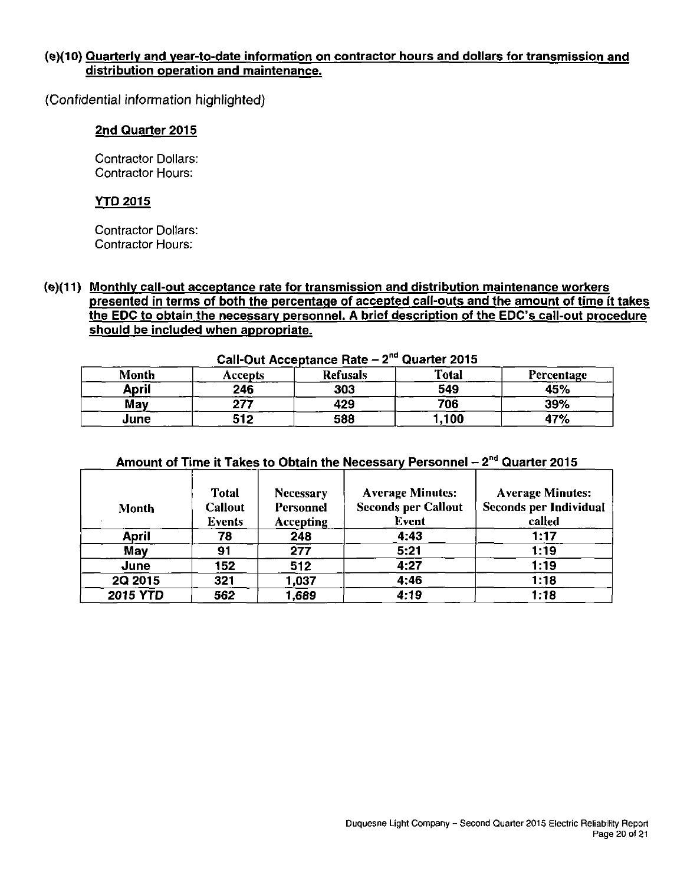#### **(e)(10) Quarterly and vear-to-date information on contractor hours and dollars for transmission and distribution operation and maintenance.**

(Confidential information highlighted)

#### **2nd Quarter 2015**

Contractor Dollars: Contractor Hours:

#### **YTO 2015**

Contractor Dollars: Contractor Hours:

**(e)(11) Monthly call-out acceptance rate for transmission and distribution maintenance workers presented in terms of both the percentage of accepted call-outs and the amount of time it takes the EDC to obtain the necessary personnel. A brief description of the EDC's call-out procedure should be included when appropriate.** 

|       | Can-Out Acceptance Rate $-2$ Guarter 2015 |                 |              |            |  |  |  |  |  |  |  |
|-------|-------------------------------------------|-----------------|--------------|------------|--|--|--|--|--|--|--|
| Month | Accepts                                   | <b>Refusals</b> | <b>Total</b> | Percentage |  |  |  |  |  |  |  |
| April | 246                                       | 303             | 549          | 45%        |  |  |  |  |  |  |  |
| May   | 277                                       | 429             | 706          | 39%        |  |  |  |  |  |  |  |
| June  | 512                                       | 588             | .100         | 47%        |  |  |  |  |  |  |  |

#### **Call-Out Acceptance Rate - 2 <sup>n</sup> <sup>d</sup> Quarter 2015**

| Amount of Time it Takes to Obtain the Necessary Personnel $-2^{nd}$ Quarter 2015 |  |
|----------------------------------------------------------------------------------|--|
|----------------------------------------------------------------------------------|--|

| Month           | <b>Total</b><br><b>Callout</b><br><b>Events</b> | <b>Necessary</b><br>Personnel<br><b>Accepting</b> | <b>Average Minutes:</b><br><b>Seconds per Callout</b><br><b>Event</b> | <b>Average Minutes:</b><br><b>Seconds per Individual</b><br>called |
|-----------------|-------------------------------------------------|---------------------------------------------------|-----------------------------------------------------------------------|--------------------------------------------------------------------|
| <b>April</b>    | 78                                              | 248                                               | 4:43                                                                  | 1:17                                                               |
| May             | 91                                              | 277                                               | 5:21                                                                  | 1:19                                                               |
| June            | 152                                             | 512                                               | 4:27                                                                  | 1:19                                                               |
| 2Q 2015         | 321                                             | 1,037                                             | 4:46                                                                  | 1:18                                                               |
| <b>2015 YTD</b> | 562                                             | 1,689                                             | 4:19                                                                  | 1:18                                                               |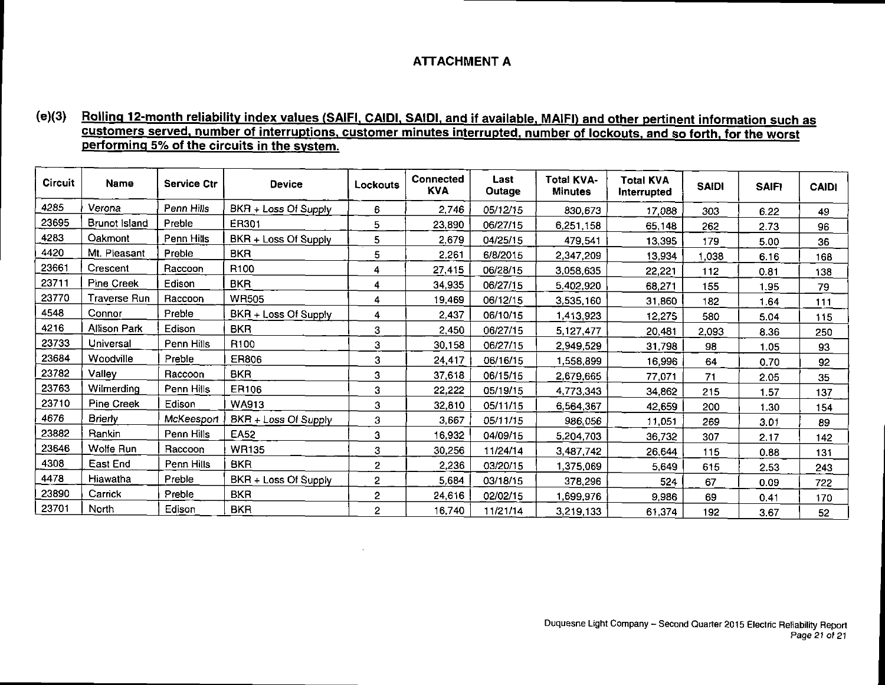#### **ATTACHMENT A**

#### **(e)(3) Rolling 12-month reliability index values (SAIFI. CAIDI. SAIDI, and if available. MAIFI) and other pertinent information such as customers served, number of interruptions, customer minutes interrupted, number of lockouts, and so forth, for the worst performing 5% of the circuits in the system.**

| <b>Circuit</b> | <b>Name</b>       | <b>Service Ctr</b> | <b>Device</b>        | Lockouts       | Connected<br><b>KVA</b> | Last<br>Outage | <b>Total KVA-</b><br><b>Minutes</b> | <b>Total KVA</b><br>Interrupted | <b>SAIDI</b> | <b>SAIF!</b> | <b>CAIDI</b> |
|----------------|-------------------|--------------------|----------------------|----------------|-------------------------|----------------|-------------------------------------|---------------------------------|--------------|--------------|--------------|
| 4285           | Verona            | Penn Hills         | BKR + Loss Of Supply | 6              | 2,746                   | 05/12/15       | 830,673                             | 17,088                          | 303          | 6.22         | 49           |
| 23695          | Brunot Island     | Preble             | ER301                | 5              | 23,890                  | 06/27/15       | 6,251,158                           | 65,148                          | 262          | 2.73         | 96           |
| 4283           | Oakmont           | Penn Hills         | BKR + Loss Of Supply | 5              | 2,679                   | 04/25/15       | 479,541                             | 13,395                          | 179          | 5.00         | 36           |
| 4420           | Mt. Pleasant      | Preble             | <b>BKR</b>           | 5              | 2,261                   | 6/8/2015       | 2,347,209                           | 13,934                          | 1,038        | 6.16         | 168          |
| 23661          | Crescent          | Raccoon            | R <sub>100</sub>     | 4              | 27,415                  | 06/28/15       | 3,058,635                           | 22,221                          | 112          | 0.81         | 138          |
| 23711          | Pine Creek        | Edison             | <b>BKR</b>           | 4              | 34,935                  | 06/27/15       | 5,402,920                           | 68,271                          | 155          | 1.95         | 79           |
| 23770          | Traverse Run      | Raccoon            | <b>WR505</b>         | 4              | 19,469                  | 06/12/15       | 3,535,160                           | 31,860                          | 182          | 1.64         | 111          |
| 4548           | Connor            | Preble             | BKR + Loss Of Supply | 4              | 2,437                   | 06/10/15       | 1,413,923                           | 12,275                          | 580          | 5.04         | 115          |
| 4216           | Allison Park      | Edison             | <b>BKR</b>           | 3              | 2,450                   | 06/27/15       | 5,127,477                           | 20,481                          | 2,093        | 8.36         | 250          |
| 23733          | Universal         | Penn Hills         | R100                 | 3              | 30,158                  | 06/27/15       | 2,949,529                           | 31,798                          | 98           | 1.05         | 93           |
| 23684          | Woodville         | Preble             | ER806                | 3              | 24,417                  | 06/16/15       | 1,558,899                           | 16,996                          | 64           | 0.70         | 92           |
| 23782          | Vallev            | Raccoon            | <b>BKR</b>           | 3              | 37,618                  | 06/15/15       | 2,679,665                           | 77,071                          | 71           | 2.05         | 35           |
| 23763          | Wilmerding        | Penn Hills         | ER106                | 3              | 22,222                  | 05/19/15       | 4,773,343                           | 34,862                          | 215          | 1.57         | 137          |
| 23710          | <b>Pine Creek</b> | Edison             | <b>WA913</b>         | 3              | 32,810                  | 05/11/15       | 6,564,367                           | 42,659                          | 200          | 1.30         | 154          |
| 4676           | <b>Brierly</b>    | McKeesport         | BKR + Loss Of Supply | 3              | 3,667                   | 05/11/15       | 986,056                             | 11,051                          | 269          | 3.01         | 89           |
| 23882          | Rankin            | Penn Hills         | EA52                 | 3              | 16,932                  | 04/09/15       | 5,204,703                           | 36,732                          | 307          | 2.17         | 142          |
| 23646          | Wolfe Run         | Raccoon            | <b>WR135</b>         | 3              | 30,256                  | 11/24/14       | 3,487,742                           | 26,644                          | 115          | 0.88         | 131          |
| 4308           | East End          | Penn Hills         | <b>BKR</b>           | $\overline{2}$ | 2,236                   | 03/20/15       | 1,375,069                           | 5,649                           | 615          | 2.53         | 243          |
| 4478           | Hiawatha          | Preble             | BKR + Loss Of Supply | $\overline{2}$ | 5,684                   | 03/18/15       | 378,296                             | 524                             | 67           | 0.09         | 722          |
| 23890          | Carrick           | Preble             | <b>BKR</b>           | 2              | 24,616                  | 02/02/15       | 1,699,976                           | 9,986                           | 69           | 0.41         | 170          |
| 23701          | North             | Edison             | <b>BKR</b>           | $\overline{2}$ | 16,740                  | 11/21/14       | 3,219,133                           | 61,374                          | 192          | 3.67         | 52           |